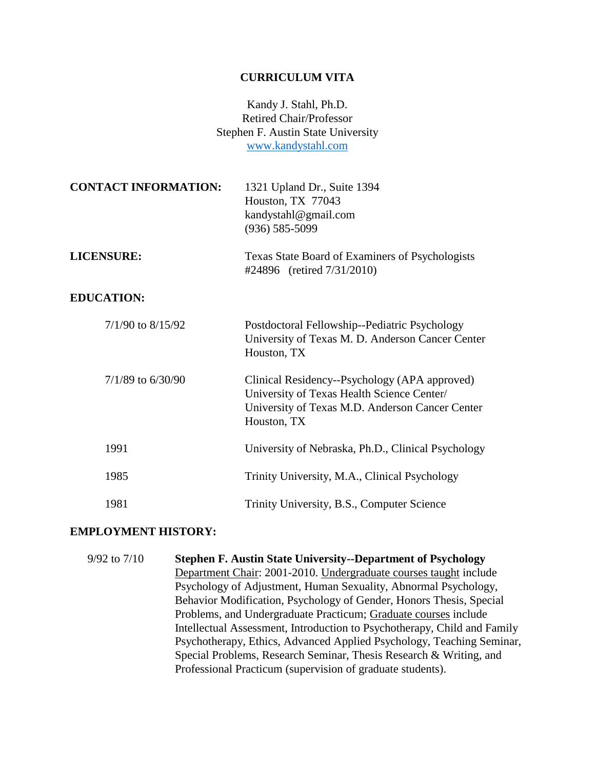#### **CURRICULUM VITA**

Kandy J. Stahl, Ph.D. Retired Chair/Professor Stephen F. Austin State University [www.kandystahl.com](http://www.kandystahl.com/)

| <b>CONTACT INFORMATION:</b> | 1321 Upland Dr., Suite 1394<br>Houston, TX 77043<br>kandystahl@gmail.com<br>$(936) 585 - 5099$                                                                |
|-----------------------------|---------------------------------------------------------------------------------------------------------------------------------------------------------------|
| <b>LICENSURE:</b>           | Texas State Board of Examiners of Psychologists<br>#24896 (retired 7/31/2010)                                                                                 |
| <b>EDUCATION:</b>           |                                                                                                                                                               |
| $7/1/90$ to $8/15/92$       | Postdoctoral Fellowship--Pediatric Psychology<br>University of Texas M. D. Anderson Cancer Center<br>Houston, TX                                              |
| $7/1/89$ to 6/30/90         | Clinical Residency--Psychology (APA approved)<br>University of Texas Health Science Center/<br>University of Texas M.D. Anderson Cancer Center<br>Houston, TX |
| 1991                        | University of Nebraska, Ph.D., Clinical Psychology                                                                                                            |
| 1985                        | Trinity University, M.A., Clinical Psychology                                                                                                                 |
| 1981                        | Trinity University, B.S., Computer Science                                                                                                                    |

#### **EMPLOYMENT HISTORY:**

9/92 to 7/10 **Stephen F. Austin State University--Department of Psychology** Department Chair: 2001-2010. Undergraduate courses taught include Psychology of Adjustment, Human Sexuality, Abnormal Psychology, Behavior Modification, Psychology of Gender, Honors Thesis, Special Problems, and Undergraduate Practicum; Graduate courses include Intellectual Assessment, Introduction to Psychotherapy, Child and Family Psychotherapy, Ethics, Advanced Applied Psychology, Teaching Seminar, Special Problems, Research Seminar, Thesis Research & Writing, and Professional Practicum (supervision of graduate students).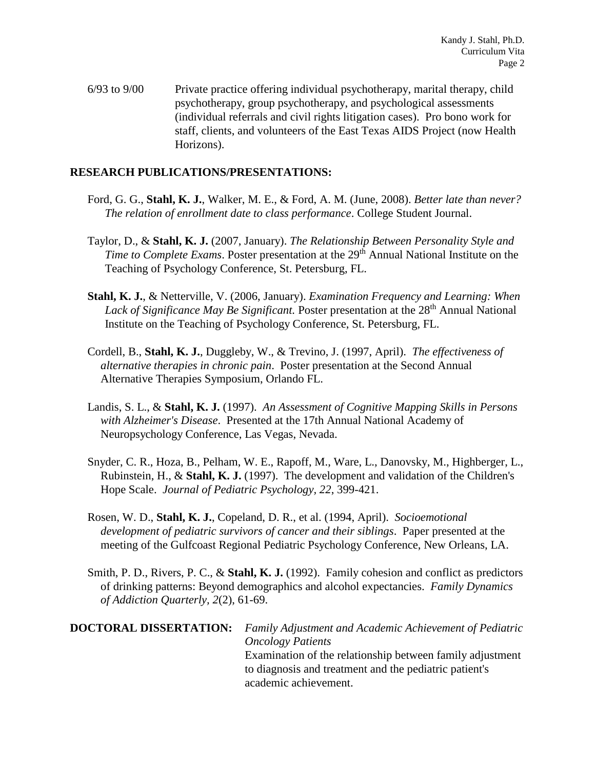6/93 to 9/00 Private practice offering individual psychotherapy, marital therapy, child psychotherapy, group psychotherapy, and psychological assessments (individual referrals and civil rights litigation cases). Pro bono work for staff, clients, and volunteers of the East Texas AIDS Project (now Health Horizons).

#### **RESEARCH PUBLICATIONS/PRESENTATIONS:**

- Ford, G. G., **Stahl, K. J.**, Walker, M. E., & Ford, A. M. (June, 2008). *Better late than never? The relation of enrollment date to class performance*. College Student Journal.
- Taylor, D., & **Stahl, K. J.** (2007, January). *The Relationship Between Personality Style and Time to Complete Exams.* Poster presentation at the 29<sup>th</sup> Annual National Institute on the Teaching of Psychology Conference, St. Petersburg, FL.
- **Stahl, K. J.**, & Netterville, V. (2006, January). *Examination Frequency and Learning: When*  Lack of Significance May Be Significant. Poster presentation at the 28<sup>th</sup> Annual National Institute on the Teaching of Psychology Conference, St. Petersburg, FL.
- Cordell, B., **Stahl, K. J.**, Duggleby, W., & Trevino, J. (1997, April). *The effectiveness of alternative therapies in chronic pain*. Poster presentation at the Second Annual Alternative Therapies Symposium, Orlando FL.
- Landis, S. L., & **Stahl, K. J.** (1997). *An Assessment of Cognitive Mapping Skills in Persons with Alzheimer's Disease*. Presented at the 17th Annual National Academy of Neuropsychology Conference, Las Vegas, Nevada.
- Snyder, C. R., Hoza, B., Pelham, W. E., Rapoff, M., Ware, L., Danovsky, M., Highberger, L., Rubinstein, H., & **Stahl, K. J.** (1997). The development and validation of the Children's Hope Scale. *Journal of Pediatric Psychology, 22*, 399-421.
- Rosen, W. D., **Stahl, K. J.**, Copeland, D. R., et al. (1994, April). *Socioemotional development of pediatric survivors of cancer and their siblings*. Paper presented at the meeting of the Gulfcoast Regional Pediatric Psychology Conference, New Orleans, LA.
- Smith, P. D., Rivers, P. C., & **Stahl, K. J.** (1992). Family cohesion and conflict as predictors of drinking patterns: Beyond demographics and alcohol expectancies. *Family Dynamics of Addiction Quarterly, 2*(2), 61-69.

# **DOCTORAL DISSERTATION:** *Family Adjustment and Academic Achievement of Pediatric Oncology Patients* Examination of the relationship between family adjustment to diagnosis and treatment and the pediatric patient's academic achievement.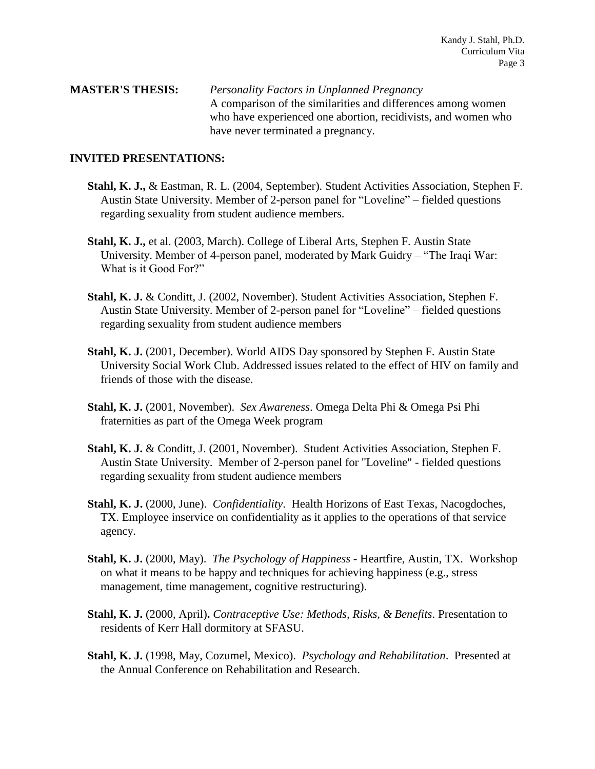#### **MASTER'S THESIS:** *Personality Factors in Unplanned Pregnancy* A comparison of the similarities and differences among women who have experienced one abortion, recidivists, and women who have never terminated a pregnancy.

#### **INVITED PRESENTATIONS:**

- **Stahl, K. J.,** & Eastman, R. L. (2004, September). Student Activities Association, Stephen F. Austin State University. Member of 2-person panel for "Loveline" – fielded questions regarding sexuality from student audience members.
- **Stahl, K. J.,** et al. (2003, March). College of Liberal Arts, Stephen F. Austin State University. Member of 4-person panel, moderated by Mark Guidry – "The Iraqi War: What is it Good For?"
- **Stahl, K. J.** & Conditt, J. (2002, November). Student Activities Association, Stephen F. Austin State University. Member of 2-person panel for "Loveline" – fielded questions regarding sexuality from student audience members
- Stahl, K. J. (2001, December). World AIDS Day sponsored by Stephen F. Austin State University Social Work Club. Addressed issues related to the effect of HIV on family and friends of those with the disease.
- **Stahl, K. J.** (2001, November). *Sex Awareness*. Omega Delta Phi & Omega Psi Phi fraternities as part of the Omega Week program
- **Stahl, K. J.** & Conditt, J. (2001, November). Student Activities Association, Stephen F. Austin State University. Member of 2-person panel for "Loveline" - fielded questions regarding sexuality from student audience members
- **Stahl, K. J.** (2000, June). *Confidentiality*. Health Horizons of East Texas, Nacogdoches, TX. Employee inservice on confidentiality as it applies to the operations of that service agency.
- **Stahl, K. J.** (2000, May). *The Psychology of Happiness* Heartfire, Austin, TX.Workshop on what it means to be happy and techniques for achieving happiness (e.g., stress management, time management, cognitive restructuring).
- **Stahl, K. J.** (2000, April)**.** *Contraceptive Use: Methods, Risks, & Benefits*. Presentation to residents of Kerr Hall dormitory at SFASU.
- **Stahl, K. J.** (1998, May, Cozumel, Mexico). *Psychology and Rehabilitation*. Presented at the Annual Conference on Rehabilitation and Research.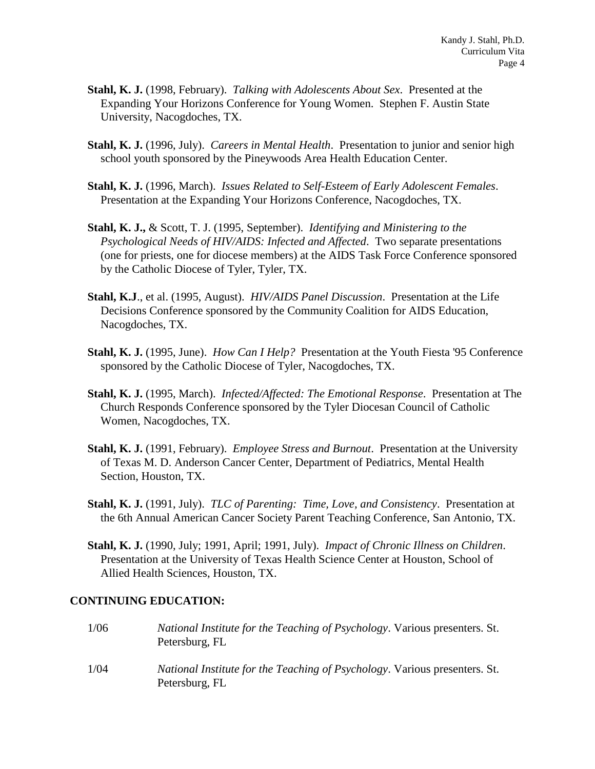- **Stahl, K. J.** (1998, February). *Talking with Adolescents About Sex*. Presented at the Expanding Your Horizons Conference for Young Women. Stephen F. Austin State University, Nacogdoches, TX.
- **Stahl, K. J.** (1996, July). *Careers in Mental Health*. Presentation to junior and senior high school youth sponsored by the Pineywoods Area Health Education Center.
- **Stahl, K. J.** (1996, March). *Issues Related to Self-Esteem of Early Adolescent Females*. Presentation at the Expanding Your Horizons Conference, Nacogdoches, TX.
- **Stahl, K. J.,** & Scott, T. J. (1995, September). *Identifying and Ministering to the Psychological Needs of HIV/AIDS: Infected and Affected*. Two separate presentations (one for priests, one for diocese members) at the AIDS Task Force Conference sponsored by the Catholic Diocese of Tyler, Tyler, TX.
- **Stahl, K.J**., et al. (1995, August). *HIV/AIDS Panel Discussion*. Presentation at the Life Decisions Conference sponsored by the Community Coalition for AIDS Education, Nacogdoches, TX.
- **Stahl, K. J.** (1995, June). *How Can I Help?* Presentation at the Youth Fiesta '95 Conference sponsored by the Catholic Diocese of Tyler, Nacogdoches, TX.
- **Stahl, K. J.** (1995, March). *Infected/Affected: The Emotional Response*. Presentation at The Church Responds Conference sponsored by the Tyler Diocesan Council of Catholic Women, Nacogdoches, TX.
- **Stahl, K. J.** (1991, February). *Employee Stress and Burnout*. Presentation at the University of Texas M. D. Anderson Cancer Center, Department of Pediatrics, Mental Health Section, Houston, TX.
- **Stahl, K. J.** (1991, July). *TLC of Parenting: Time, Love, and Consistency*. Presentation at the 6th Annual American Cancer Society Parent Teaching Conference, San Antonio, TX.
- **Stahl, K. J.** (1990, July; 1991, April; 1991, July). *Impact of Chronic Illness on Children*. Presentation at the University of Texas Health Science Center at Houston, School of Allied Health Sciences, Houston, TX.

### **CONTINUING EDUCATION:**

| 1/06 | National Institute for the Teaching of Psychology. Various presenters. St.<br>Petersburg, FL        |
|------|-----------------------------------------------------------------------------------------------------|
| 1/04 | <i>National Institute for the Teaching of Psychology.</i> Various presenters. St.<br>Petersburg, FL |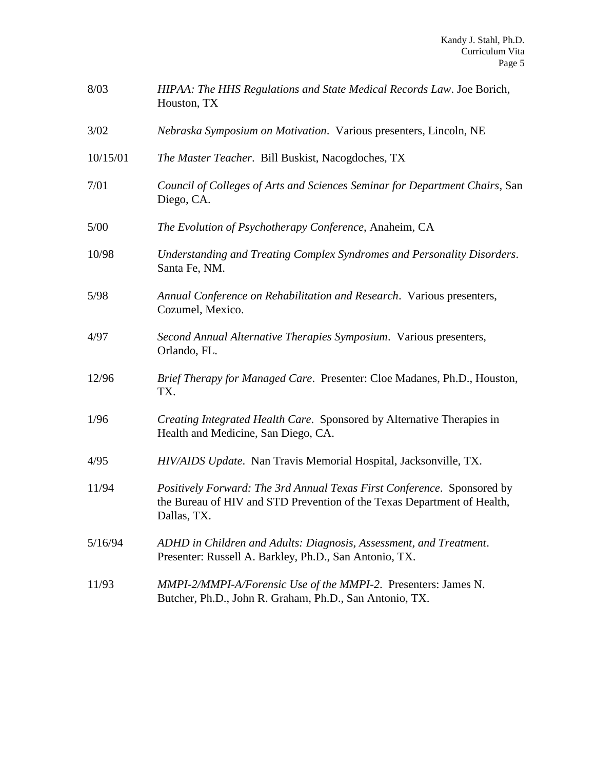| 8/03     | HIPAA: The HHS Regulations and State Medical Records Law. Joe Borich,<br>Houston, TX                                                                              |
|----------|-------------------------------------------------------------------------------------------------------------------------------------------------------------------|
| 3/02     | Nebraska Symposium on Motivation. Various presenters, Lincoln, NE                                                                                                 |
| 10/15/01 | The Master Teacher. Bill Buskist, Nacogdoches, TX                                                                                                                 |
| 7/01     | Council of Colleges of Arts and Sciences Seminar for Department Chairs, San<br>Diego, CA.                                                                         |
| 5/00     | The Evolution of Psychotherapy Conference, Anaheim, CA                                                                                                            |
| 10/98    | Understanding and Treating Complex Syndromes and Personality Disorders.<br>Santa Fe, NM.                                                                          |
| 5/98     | Annual Conference on Rehabilitation and Research. Various presenters,<br>Cozumel, Mexico.                                                                         |
| 4/97     | Second Annual Alternative Therapies Symposium. Various presenters,<br>Orlando, FL.                                                                                |
| 12/96    | Brief Therapy for Managed Care. Presenter: Cloe Madanes, Ph.D., Houston,<br>TX.                                                                                   |
| 1/96     | Creating Integrated Health Care. Sponsored by Alternative Therapies in<br>Health and Medicine, San Diego, CA.                                                     |
| 4/95     | HIV/AIDS Update. Nan Travis Memorial Hospital, Jacksonville, TX.                                                                                                  |
| 11/94    | Positively Forward: The 3rd Annual Texas First Conference. Sponsored by<br>the Bureau of HIV and STD Prevention of the Texas Department of Health,<br>Dallas, TX. |
| 5/16/94  | ADHD in Children and Adults: Diagnosis, Assessment, and Treatment.<br>Presenter: Russell A. Barkley, Ph.D., San Antonio, TX.                                      |
| 11/93    | MMPI-2/MMPI-A/Forensic Use of the MMPI-2. Presenters: James N.<br>Butcher, Ph.D., John R. Graham, Ph.D., San Antonio, TX.                                         |